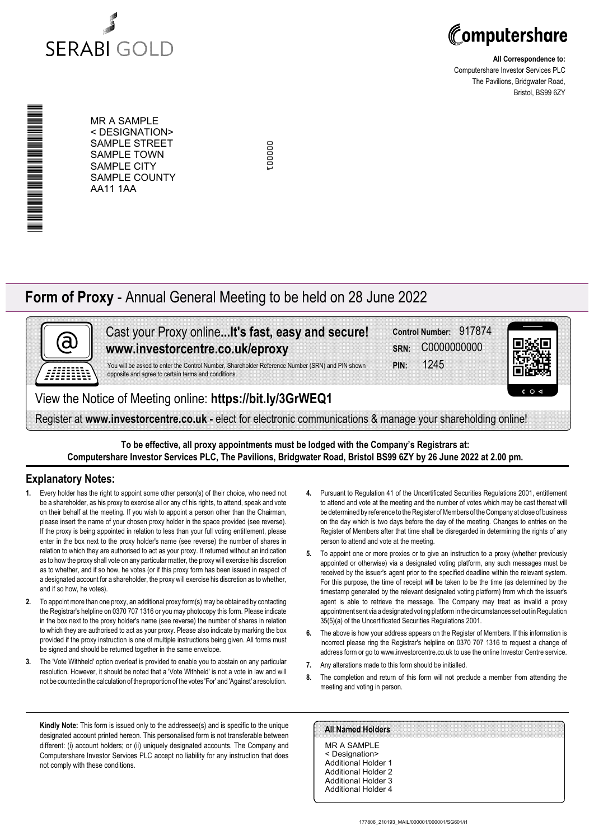



**All Correspondence to:** Computershare Investor Services PLC The Pavilions, Bridgwater Road, Bristol, BS99 6ZY

\*00000101010010\* N N N N N N N N N N N N N N N N N N N

MR A SAMPLE < DESIGNATION> SAMPLE STREET SAMPLE TOWN SAMPLE CITY SAMPLE COUNTY AA11 1AA

cooper 000001

## **Form of Proxy** - Annual General Meeting to be held on 28 June 2022



Cast your Proxy online**...It's fast, easy and secure! www.investorcentre.co.uk/eproxy**

You will be asked to enter the Control Number, Shareholder Reference Number (SRN) and PIN shown

**PIN:** 1245 **SRN:** C0000000000 **Control Number:** 917874



View the Notice of Meeting online: **https://bit.ly/3GrWEQ1**

opposite and agree to certain terms and conditions.

Register at **www.investorcentre.co.uk -** elect for electronic communications & manage your shareholding online!

**To be effective, all proxy appointments must be lodged with the Company's Registrars at: Computershare Investor Services PLC, The Pavilions, Bridgwater Road, Bristol BS99 6ZY by 26 June 2022 at 2.00 pm.**

### **Explanatory Notes:**

- **1.** Every holder has the right to appoint some other person(s) of their choice, who need not be a shareholder, as his proxy to exercise all or any of his rights, to attend, speak and vote on their behalf at the meeting. If you wish to appoint a person other than the Chairman, please insert the name of your chosen proxy holder in the space provided (see reverse). If the proxy is being appointed in relation to less than your full voting entitlement, please enter in the box next to the proxy holder's name (see reverse) the number of shares in relation to which they are authorised to act as your proxy. If returned without an indication as to how the proxy shall vote on any particular matter, the proxy will exercise his discretion as to whether, and if so how, he votes (or if this proxy form has been issued in respect of a designated account for a shareholder, the proxy will exercise his discretion as to whether, and if so how, he votes).
- **2.** To appoint more than one proxy, an additional proxy form(s) may be obtained by contacting the Registrar's helpline on 0370 707 1316 or you may photocopy this form. Please indicate in the box next to the proxy holder's name (see reverse) the number of shares in relation to which they are authorised to act as your proxy. Please also indicate by marking the box provided if the proxy instruction is one of multiple instructions being given. All forms must be signed and should be returned together in the same envelope.
- **3.** The 'Vote Withheld' option overleaf is provided to enable you to abstain on any particular resolution. However, it should be noted that a 'Vote Withheld' is not a vote in law and will not be counted in the calculation of the proportion of the votes 'For' and 'Against' a resolution.
- **4.** Pursuant to Regulation 41 of the Uncertificated Securities Regulations 2001, entitlement to attend and vote at the meeting and the number of votes which may be cast thereat will be determined by reference to the Register of Members of the Company at close of business on the day which is two days before the day of the meeting. Changes to entries on the Register of Members after that time shall be disregarded in determining the rights of any person to attend and vote at the meeting.
- **5.** To appoint one or more proxies or to give an instruction to a proxy (whether previously appointed or otherwise) via a designated voting platform, any such messages must be received by the issuer's agent prior to the specified deadline within the relevant system. For this purpose, the time of receipt will be taken to be the time (as determined by the timestamp generated by the relevant designated voting platform) from which the issuer's agent is able to retrieve the message. The Company may treat as invalid a proxy appointment sent via a designated voting platform in the circumstances set out in Regulation 35(5)(a) of the Uncertificated Securities Regulations 2001.
- **6.** The above is how your address appears on the Register of Members. If this information is incorrect please ring the Registrar's helpline on 0370 707 1316 to request a change of address form or go to www.investorcentre.co.uk to use the online Investor Centre service.
- **7.** Any alterations made to this form should be initialled.
- **8.** The completion and return of this form will not preclude a member from attending the meeting and voting in person.

**Kindly Note:** This form is issued only to the addressee(s) and is specific to the unique designated account printed hereon. This personalised form is not transferable between different: (i) account holders; or (ii) uniquely designated accounts. The Company and Computershare Investor Services PLC accept no liability for any instruction that does not comply with these conditions.

#### **All Named Holders**

MR A SAMPLE < Designation> Additional Holder 1 Additional Holder 2 Additional Holder 3 Additional Holder 4